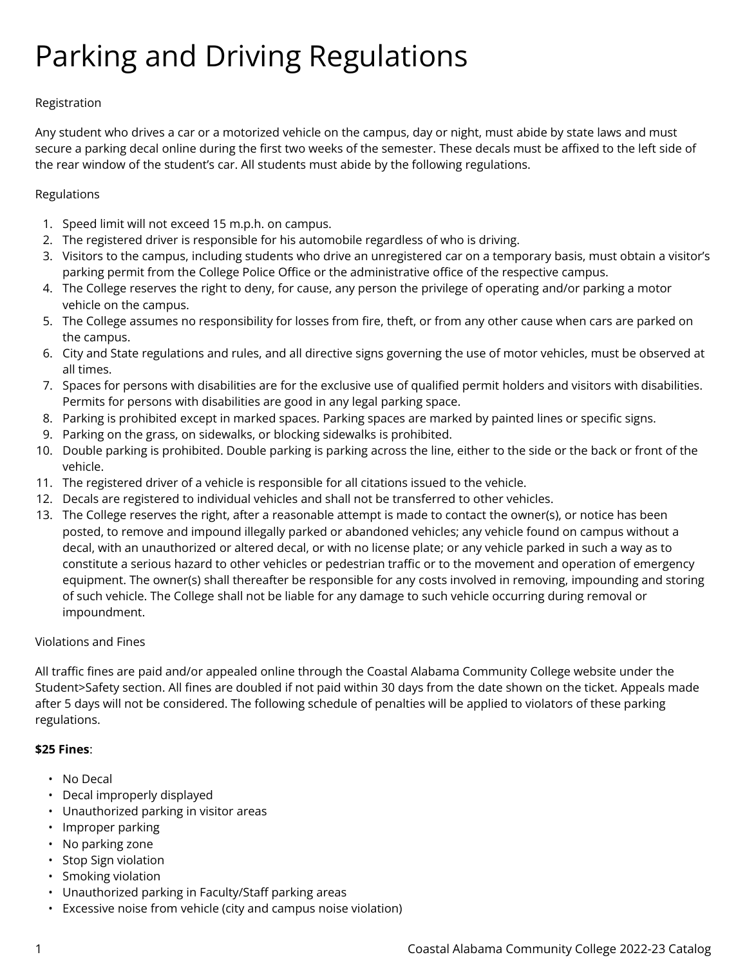# Parking and Driving Regulations

# Registration

Any student who drives a car or a motorized vehicle on the campus, day or night, must abide by state laws and must secure a parking decal online during the first two weeks of the semester. These decals must be affixed to the left side of the rear window of the student's car. All students must abide by the following regulations.

# Regulations

- 1. Speed limit will not exceed 15 m.p.h. on campus.
- 2. The registered driver is responsible for his automobile regardless of who is driving.
- 3. Visitors to the campus, including students who drive an unregistered car on a temporary basis, must obtain a visitor's parking permit from the College Police Office or the administrative office of the respective campus.
- 4. The College reserves the right to deny, for cause, any person the privilege of operating and/or parking a motor vehicle on the campus.
- 5. The College assumes no responsibility for losses from fire, theft, or from any other cause when cars are parked on the campus.
- 6. City and State regulations and rules, and all directive signs governing the use of motor vehicles, must be observed at all times.
- 7. Spaces for persons with disabilities are for the exclusive use of qualified permit holders and visitors with disabilities. Permits for persons with disabilities are good in any legal parking space.
- 8. Parking is prohibited except in marked spaces. Parking spaces are marked by painted lines or specific signs.
- 9. Parking on the grass, on sidewalks, or blocking sidewalks is prohibited.
- 10. Double parking is prohibited. Double parking is parking across the line, either to the side or the back or front of the vehicle.
- 11. The registered driver of a vehicle is responsible for all citations issued to the vehicle.
- 12. Decals are registered to individual vehicles and shall not be transferred to other vehicles.
- 13. The College reserves the right, after a reasonable attempt is made to contact the owner(s), or notice has been posted, to remove and impound illegally parked or abandoned vehicles; any vehicle found on campus without a decal, with an unauthorized or altered decal, or with no license plate; or any vehicle parked in such a way as to constitute a serious hazard to other vehicles or pedestrian traffic or to the movement and operation of emergency equipment. The owner(s) shall thereafter be responsible for any costs involved in removing, impounding and storing of such vehicle. The College shall not be liable for any damage to such vehicle occurring during removal or impoundment.

### Violations and Fines

All traffic fines are paid and/or appealed online through the Coastal Alabama Community College website under the Student>Safety section. All fines are doubled if not paid within 30 days from the date shown on the ticket. Appeals made after 5 days will not be considered. The following schedule of penalties will be applied to violators of these parking regulations.

### **\$25 Fines**:

- No Decal
- Decal improperly displayed
- Unauthorized parking in visitor areas
- Improper parking
- No parking zone
- Stop Sign violation
- Smoking violation
- Unauthorized parking in Faculty/Staff parking areas
- Excessive noise from vehicle (city and campus noise violation)